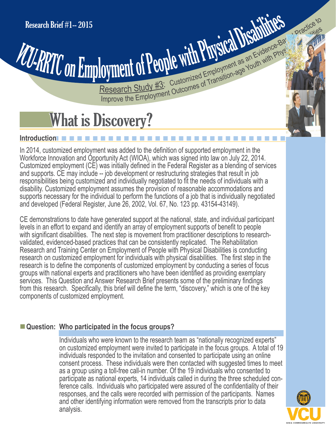# Ioyment of People with Physical Disabilities and alleged the production-<br>Research Study #3: Customized Employment as an Evidence Bar Internation<br>Improve the Employment Outcomes of Transition-age Youth with Physical Disabil Research Brief #1-2015<br>Research Study #3: Customized Employment as an Evidence-Based Practice to

## What is Discovery?

#### n n n n n n n n n n n n n n n n n n n n n n n n n n n n n n n **Introduction**

In 2014, customized employment was added to the definition of supported employment in the Workforce Innovation and Opportunity Act (WIOA), which was signed into law on July 22, 2014. Customized employment (CE) was initially defined in the Federal Register as a blending of services and supports. CE may include -- job development or restructuring strategies that result in job responsibilities being customized and individually negotiated to fit the needs of individuals with a disability. Customized employment assumes the provision of reasonable accommodations and supports necessary for the individual to perform the functions of a job that is individually negotiated and developed (Federal Register, June 26, 2002, Vol. 67, No. 123 pp. 43154-43149).

CE demonstrations to date have generated support at the national, state, and individual participant levels in an effort to expand and identify an array of employment supports of benefit to people with significant disabilities. The next step is movement from practitioner descriptions to researchvalidated, evidenced-based practices that can be consistently replicated. The Rehabilitation Research and Training Center on Employment of People with Physical Disabilities is conducting research on customized employment for individuals with physical disabilities. The first step in the research is to define the components of customized employment by conducting a series of focus groups with national experts and practitioners who have been identified as providing exemplary services. This Question and Answer Research Brief presents some of the preliminary findings from this research. Specifically, this brief will define the term, "discovery," which is one of the key components of customized employment.

### **E** Question: Who participated in the focus groups?

Individuals who were known to the research team as "nationally recognized experts" on customized employment were invited to participate in the focus groups. A total of 19 individuals responded to the invitation and consented to participate using an online consent process. These individuals were then contacted with suggested times to meet as a group using a toll-free call-in number. Of the 19 individuals who consented to participate as national experts, 14 individuals called in during the three scheduled conference calls. Individuals who participated were assured of the confidentiality of their responses, and the calls were recorded with permission of the participants. Names and other identifying information were removed from the transcripts prior to data analysis.

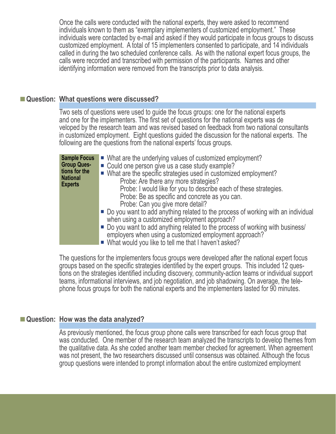Once the calls were conducted with the national experts, they were asked to recommend individuals known to them as "exemplary implementers of customized employment." These individuals were contacted by e-mail and asked if they would participate in focus groups to discuss customized employment. A total of 15 implementers consented to participate, and 14 individuals called in during the two scheduled conference calls. As with the national expert focus groups, the calls were recorded and transcribed with permission of the participants. Names and other identifying information were removed from the transcripts prior to data analysis.

#### **E** Question: What questions were discussed?

 following are the questions from the national experts' focus groups. Two sets of questions were used to guide the focus groups: one for the national experts and one for the implementers. The first set of questions for the national experts was de veloped by the research team and was revised based on feedback from two national consultants in customized employment. Eight questions guided the discussion for the national experts. The

| <b>Sample Focus</b><br><b>Group Ques-</b><br>tions for the | ■ What are the underlying values of customized employment?<br>• Could one person give us a case study example?                                                                                     |
|------------------------------------------------------------|----------------------------------------------------------------------------------------------------------------------------------------------------------------------------------------------------|
| <b>National</b><br><b>Experts</b>                          | ■ What are the specific strategies used in customized employment?<br>Probe: Are there any more strategies?<br>Probe: I would like for you to describe each of these strategies.                    |
|                                                            | Probe: Be as specific and concrete as you can.<br>Probe: Can you give more detail?                                                                                                                 |
|                                                            | ■ Do you want to add anything related to the process of working with an individual<br>when using a customized employment approach?                                                                 |
|                                                            | ■ Do you want to add anything related to the process of working with business/<br>employers when using a customized employment approach?<br>■ What would you like to tell me that I haven't asked? |

The questions for the implementers focus groups were developed after the national expert focus groups based on the specific strategies identified by the expert groups. This included 12 ques tions on the strategies identified including discovery, community-action teams or individual support teams, informational interviews, and job negotiation, and job shadowing. On average, the tele phone focus groups for both the national experts and the implementers lasted for 90 minutes.

#### **Example 3 I Question: How was the data analyzed?**

As previously mentioned, the focus group phone calls were transcribed for each focus group that was conducted. One member of the research team analyzed the transcripts to develop themes from the qualitative data. As she coded another team member checked for agreement. When agreement was not present, the two researchers discussed until consensus was obtained. Although the focus group questions were intended to prompt information about the entire customized employment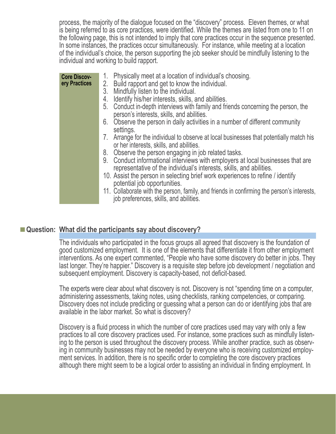process, the majority of the dialogue focused on the "discovery" process. Eleven themes, or what is being referred to as core practices, were identified. While the themes are listed from one to 11 on the following page, this is not intended to imply that core practices occur in the sequence presented. In some instances, the practices occur simultaneously. For instance, while meeting at a location of the individual's choice, the person supporting the job seeker should be mindfully listening to the individual and working to build rapport.

| <b>Core Discov-</b> | Physically meet at a location of individual's choosing.<br>1.                                                                                           |
|---------------------|---------------------------------------------------------------------------------------------------------------------------------------------------------|
| ery Practices       | 2. Build rapport and get to know the individual.                                                                                                        |
|                     | Mindfully listen to the individual.<br>3.                                                                                                               |
|                     | Identify his/her interests, skills, and abilities.<br>4.                                                                                                |
|                     | 5. Conduct in-depth interviews with family and friends concerning the person, the<br>person's interests, skills, and abilities.                         |
|                     | 6. Observe the person in daily activities in a number of different community<br>settings.                                                               |
|                     | 7. Arrange for the individual to observe at local businesses that potentially match his<br>or her interests, skills, and abilities.                     |
|                     | 8. Observe the person engaging in job related tasks.                                                                                                    |
|                     | 9. Conduct informational interviews with employers at local businesses that are<br>representative of the individual's interests, skills, and abilities. |
|                     | 10. Assist the person in selecting brief work experiences to refine / identify<br>potential job opportunities.                                          |
|                     | 11. Collaborate with the person, family, and friends in confirming the person's interests,<br>job preferences, skills, and abilities.                   |

#### **Example 3 Is all 2 Constraige Manus Constraints Constraints Question: What did the participants say about discovery?**

The individuals who participated in the focus groups all agreed that discovery is the foundation of good customized employment. It is one of the elements that differentiate it from other employment interventions. As one expert commented, "People who have some discovery do better in jobs. They last longer. They're happier." Discovery is a requisite step before job development / negotiation and subsequent employment. Discovery is capacity-based, not deficit-based.

The experts were clear about what discovery is not. Discovery is not "spending time on a computer, administering assessments, taking notes, using checklists, ranking competencies, or comparing. Discovery does not include predicting or guessing what a person can do or identifying jobs that are available in the labor market. So what is discovery?

Discovery is a fluid process in which the number of core practices used may vary with only a few practices to all core discovery practices used. For instance, some practices such as mindfully listen ing to the person is used throughout the discovery process. While another practice, such as observ ing in community businesses may not be needed by everyone who is receiving customized employ ment services. In addition, there is no specific order to completing the core discovery practices although there might seem to be a logical order to assisting an individual in finding employment. In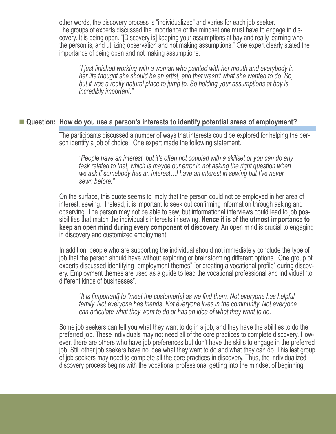other words, the discovery process is "individualized" and varies for each job seeker. The groups of experts discussed the importance of the mindset one must have to engage in dis covery. It is being open. "[Discovery is] keeping your assumptions at bay and really learning who the person is, and utilizing observation and not making assumptions." One expert clearly stated the importance of being open and not making assumptions.

*"I just finished working with a woman who painted with her mouth and everybody in her life thought she should be an artist, and that wasn't what she wanted to do. So, but it was a really natural place to jump to. So holding your assumptions at bay is incredibly important."*

#### ■ Question: How do you use a person's interests to identify potential areas of employment?

The participants discussed a number of ways that interests could be explored for helping the per son identify a job of choice. One expert made the following statement.

*"People have an interest, but it's often not coupled with a skillset or you can do any task related to that, which is maybe our error in not asking the right question when we ask if somebody has an interest…I have an interest in sewing but I've never sewn before."* 

On the surface, this quote seems to imply that the person could not be employed in her area of interest, sewing. Instead, it is important to seek out confirming information through asking and observing. The person may not be able to sew, but informational interviews could lead to job pos sibilities that match the individual's interests in sewing. **Hence it is of the utmost importance to keep an open mind during every component of discovery**. An open mind is crucial to engaging in discovery and customized employment.

In addition, people who are supporting the individual should not immediately conclude the type of job that the person should have without exploring or brainstorming different options. One group of experts discussed identifying "employment themes" "or creating a vocational profile" during discov ery. Employment themes are used as a guide to lead the vocational professional and individual "to different kinds of businesses".

*"It is [important] to "meet the customer[s] as we find them. Not everyone has helpful family. Not everyone has friends. Not everyone lives in the community. Not everyone can articulate what they want to do or has an idea of what they want to do.*

Some job seekers can tell you what they want to do in a job, and they have the abilities to do the preferred job. These individuals may not need all of the core practices to complete discovery. How ever, there are others who have job preferences but don't have the skills to engage in the preferred job. Still other job seekers have no idea what they want to do and what they can do. This last group of job seekers may need to complete all the core practices in discovery. Thus, the individualized discovery process begins with the vocational professional getting into the mindset of beginning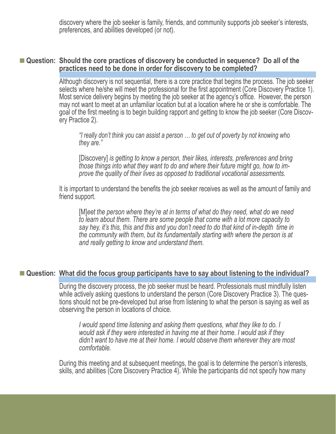discovery where the job seeker is family, friends, and community supports job seeker's interests, preferences, and abilities developed (or not).

#### ■ Question: Should the core practices of discovery be conducted in sequence? Do all of the **practices need to be done in order for discovery to be completed?**

Although discovery is not sequential, there is a core practice that begins the process. The job seeker selects where he/she will meet the professional for the first appointment (Core Discovery Practice 1). Most service delivery begins by meeting the job seeker at the agency's office. However, the person may not want to meet at an unfamiliar location but at a location where he or she is comfortable. The goal of the first meeting is to begin building rapport and getting to know the job seeker (Core Discov ery Practice 2).

*"I really don't think you can assist a person … to get out of poverty by not knowing who they are."*

[Discovery] *is getting to know a person, their likes, interests, preferences and bring those things into what they want to do and where their future might go, how to im prove the quality of their lives as opposed to traditional vocational assessments.*

It is important to understand the benefits the job seeker receives as well as the amount of family and friend support.

[M]*eet the person where they're at in terms of what do they need, what do we need to learn about them. There are some people that come with a lot more capacity to say hey, it's this, this and this and you don't need to do that kind of in-depth time in the community with them, but its fundamentally starting with where the person is at and really getting to know and understand them.*

#### ■ Question: What did the focus group participants have to say about listening to the individual?

During the discovery process, the job seeker must be heard. Professionals must mindfully listen while actively asking questions to understand the person (Core Discovery Practice 3). The ques tions should not be pre-developed but arise from listening to what the person is saying as well as observing the person in locations of choice.

*I would spend time listening and asking them questions, what they like to do. I would ask if they were interested in having me at their home. I would ask if they didn't want to have me at their home. I would observe them wherever they are most comfortable.* 

During this meeting and at subsequent meetings, the goal is to determine the person's interests, skills, and abilities (Core Discovery Practice 4). While the participants did not specify how many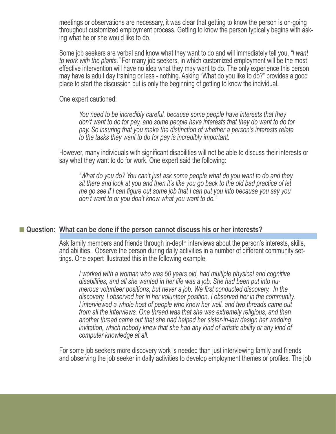meetings or observations are necessary, it was clear that getting to know the person is on-going throughout customized employment process. Getting to know the person typically begins with ask ing what he or she would like to do.

Some job seekers are verbal and know what they want to do and will immediately tell you, *"I want to work with the plants."* For many job seekers, in which customized employment will be the most effective intervention will have no idea what they may want to do. The only experience this person may have is adult day training or less - nothing. Asking "What do you like to do?" provides a good place to start the discussion but is only the beginning of getting to know the individual.

One expert cautioned:

*You need to be incredibly careful, because some people have interests that they don't want to do for pay, and some people have interests that they do want to do for pay. So insuring that you make the distinction of whether a person's interests relate to the tasks they want to do for pay is incredibly important.*

However, many individuals with significant disabilities will not be able to discuss their interests or say what they want to do for work. One expert said the following:

*"What do you do? You can't just ask some people what do you want to do and they sit there and look at you and then it's like you go back to the old bad practice of let me go see if I can figure out some job that I can put you into because you say you don't want to or you don't know what you want to do."*

#### ■ Question: What can be done if the person cannot discuss his or her interests?

Ask family members and friends through in-depth interviews about the person's interests, skills, and abilities. Observe the person during daily activities in a number of different community set tings. One expert illustrated this in the following example.

*I worked with a woman who was 50 years old, had multiple physical and cognitive disabilities, and all she wanted in her life was a job. She had been put into nu merous volunteer positions, but never a job. We first conducted discovery. In the discovery, I observed her in her volunteer position, I observed her in the community, I interviewed a whole host of people who knew her well, and two threads came out from all the interviews. One thread was that she was extremely religious, and then another thread came out that she had helped her sister-in-law design her wedding invitation, which nobody knew that she had any kind of artistic ability or any kind of computer knowledge at all.* 

For some job seekers more discovery work is needed than just interviewing family and friends and observing the job seeker in daily activities to develop employment themes or profiles. The job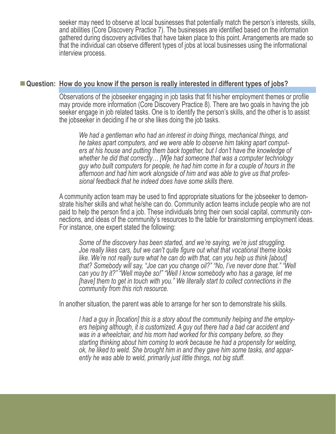seeker may need to observe at local businesses that potentially match the person's interests, skills, and abilities (Core Discovery Practice 7). The businesses are identified based on the information gathered during discovery activities that have taken place to this point. Arrangements are made so that the individual can observe different types of jobs at local businesses using the informational interview process.

#### ■ Question: How do you know if the person is really interested in different types of jobs?

Observations of the jobseeker engaging in job tasks that fit his/her employment themes or profile may provide more information (Core Discovery Practice 8). There are two goals in having the job seeker engage in job related tasks. One is to identify the person's skills, and the other is to assist the jobseeker in deciding if he or she likes doing the job tasks.

*We had a gentleman who had an interest in doing things, mechanical things, and he takes apart computers, and we were able to observe him taking apart comput ers at his house and putting them back together, but I don't have the knowledge of whether he did that correctly… [W]e had someone that was a computer technology guy who built computers for people, he had him come in for a couple of hours in the afternoon and had him work alongside of him and was able to give us that profes sional feedback that he indeed does have some skills there.*

A community action team may be used to find appropriate situations for the jobseeker to demon strate his/her skills and what he/she can do. Community action teams include people who are not paid to help the person find a job. These individuals bring their own social capital, community con nections, and ideas of the community's resources to the table for brainstorming employment ideas. For instance, one expert stated the following:

*Some of the discovery has been started, and we're saying, we're just struggling. Joe really likes cars, but we can't quite figure out what that vocational theme looks like. We're not really sure what he can do with that, can you help us think [about] that? Somebody will say, "Joe can you change oil?" "No, I've never done that." "Well can you try it?" "Well maybe so!" "Well I know somebody who has a garage, let me [have] them to get in touch with you." We literally start to collect connections in the community from this rich resource.*

In another situation, the parent was able to arrange for her son to demonstrate his skills.

*I had a guy in [location] this is a story about the community helping and the employ ers helping although, it is customized. A guy out there had a bad car accident and was in a wheelchair, and his mom had worked for this company before, so they starting thinking about him coming to work because he had a propensity for welding, ok, he liked to weld. She brought him in and they gave him some tasks, and appar ently he was able to weld, primarily just little things, not big stuff.*